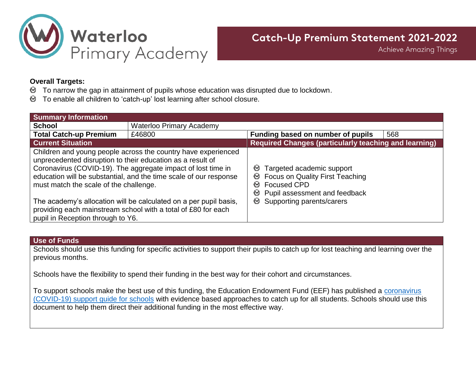

**Achieve Amazing Things** 

## **Overall Targets:**

- $\mathfrak{D}$  To narrow the gap in attainment of pupils whose education was disrupted due to lockdown.
- To enable all children to 'catch-up' lost learning after school closure.

| <b>Summary Information</b>                                                                                                                                                                                                                                                                                 |                                 |                                                                                                                                                                                  |     |  |
|------------------------------------------------------------------------------------------------------------------------------------------------------------------------------------------------------------------------------------------------------------------------------------------------------------|---------------------------------|----------------------------------------------------------------------------------------------------------------------------------------------------------------------------------|-----|--|
| <b>School</b>                                                                                                                                                                                                                                                                                              | <b>Waterloo Primary Academy</b> |                                                                                                                                                                                  |     |  |
| <b>Total Catch-up Premium</b>                                                                                                                                                                                                                                                                              | £46800                          | Funding based on number of pupils                                                                                                                                                | 568 |  |
| <b>Current Situation</b>                                                                                                                                                                                                                                                                                   |                                 | <b>Required Changes (particularly teaching and learning)</b>                                                                                                                     |     |  |
| Children and young people across the country have experienced<br>unprecedented disruption to their education as a result of<br>Coronavirus (COVID-19). The aggregate impact of lost time in<br>education will be substantial, and the time scale of our response<br>must match the scale of the challenge. |                                 | Targeted academic support<br>৩<br><b>Focus on Quality First Teaching</b><br>v<br><b>Focused CPD</b><br>∞<br>Pupil assessment and feedback<br>৩<br>Supporting parents/carers<br>৩ |     |  |
| The academy's allocation will be calculated on a per pupil basis,<br>providing each mainstream school with a total of £80 for each<br>pupil in Reception through to Y6.                                                                                                                                    |                                 |                                                                                                                                                                                  |     |  |

#### **Use of Funds**

Schools should use this funding for specific activities to support their pupils to catch up for lost teaching and learning over the previous months.

Schools have the flexibility to spend their funding in the best way for their cohort and circumstances.

To support schools make the best use of this funding, the Education Endowment Fund (EEF) has published a [coronavirus](https://educationendowmentfoundation.org.uk/covid-19-resources/national-tutoring-programme/covid-19-support-guide-for-schools/)  [\(COVID-19\) support guide for schools](https://educationendowmentfoundation.org.uk/covid-19-resources/national-tutoring-programme/covid-19-support-guide-for-schools/) with evidence based approaches to catch up for all students. Schools should use this document to help them direct their additional funding in the most effective way.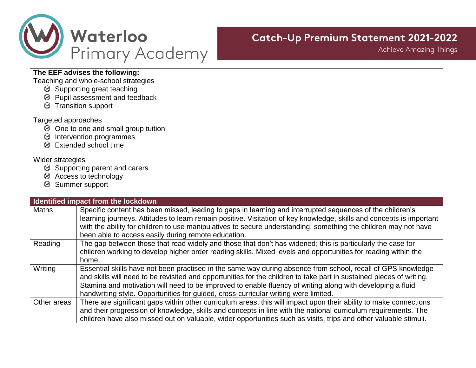

**Achieve Amazing Things** 

## **The EEF advises the following:**

Teaching and whole-school strategies

- Supporting great teaching
- Pupil assessment and feedback
- **S** Transition support

### Targeted approaches

- One to one and small group tuition
- $<sup>•</sup>$  Intervention programmes</sup>
- **Extended school time**

## Wider strategies

- **■** Supporting parent and carers
- Access to technology
- **■** Summer support

#### **Identified impact from the lockdown**

| <b>Maths</b> | Specific content has been missed, leading to gaps in learning and interrupted sequences of the children's<br>learning journeys. Attitudes to learn remain positive. Visitation of key knowledge, skills and concepts is important<br>with the ability for children to use manipulatives to secure understanding, something the children may not have<br>been able to access easily during remote education.                               |
|--------------|-------------------------------------------------------------------------------------------------------------------------------------------------------------------------------------------------------------------------------------------------------------------------------------------------------------------------------------------------------------------------------------------------------------------------------------------|
| Reading      | The gap between those that read widely and those that don't has widened; this is particularly the case for                                                                                                                                                                                                                                                                                                                                |
|              | children working to develop higher order reading skills. Mixed levels and opportunities for reading within the<br>home.                                                                                                                                                                                                                                                                                                                   |
| Writing      | Essential skills have not been practised in the same way during absence from school, recall of GPS knowledge<br>and skills will need to be revisited and opportunities for the children to take part in sustained pieces of writing.<br>Stamina and motivation will need to be improved to enable fluency of writing along with developing a fluid<br>handwriting style. Opportunities for guided, cross-curricular writing were limited. |
| Other areas  | There are significant gaps within other curriculum areas, this will impact upon their ability to make connections                                                                                                                                                                                                                                                                                                                         |
|              | and their progression of knowledge, skills and concepts in line with the national curriculum requirements. The<br>children have also missed out on valuable, wider opportunities such as visits, trips and other valuable stimuli.                                                                                                                                                                                                        |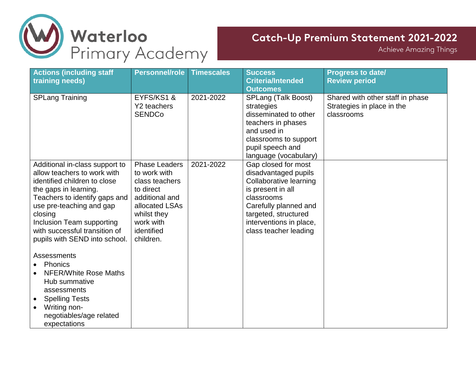

**Achieve Amazing Things** 

| <b>Actions (including staff</b><br>training needs)                                                                                                                                                                                                                                            | <b>Personnel/role</b>                                                                                                                                          | <b>Timescales</b> | <b>Success</b><br><b>Criteria/Intended</b><br><b>Outcomes</b>                                                                                                                                                 | <b>Progress to date/</b><br><b>Review period</b>                             |
|-----------------------------------------------------------------------------------------------------------------------------------------------------------------------------------------------------------------------------------------------------------------------------------------------|----------------------------------------------------------------------------------------------------------------------------------------------------------------|-------------------|---------------------------------------------------------------------------------------------------------------------------------------------------------------------------------------------------------------|------------------------------------------------------------------------------|
| <b>SPLang Training</b>                                                                                                                                                                                                                                                                        | EYFS/KS1&<br>Y2 teachers<br><b>SENDCo</b>                                                                                                                      | 2021-2022         | SPLang (Talk Boost)<br>strategies<br>disseminated to other<br>teachers in phases<br>and used in<br>classrooms to support<br>pupil speech and<br>language (vocabulary)                                         | Shared with other staff in phase<br>Strategies in place in the<br>classrooms |
| Additional in-class support to<br>allow teachers to work with<br>identified children to close<br>the gaps in learning.<br>Teachers to identify gaps and<br>use pre-teaching and gap<br>closing<br>Inclusion Team supporting<br>with successful transition of<br>pupils with SEND into school. | <b>Phase Leaders</b><br>to work with<br>class teachers<br>to direct<br>additional and<br>allocated LSAs<br>whilst they<br>work with<br>identified<br>children. | 2021-2022         | Gap closed for most<br>disadvantaged pupils<br>Collaborative learning<br>is present in all<br>classrooms<br>Carefully planned and<br>targeted, structured<br>interventions in place,<br>class teacher leading |                                                                              |
| Assessments<br>Phonics<br>NFER/White Rose Maths<br>Hub summative<br>assessments<br><b>Spelling Tests</b><br>$\bullet$<br>Writing non-<br>$\bullet$<br>negotiables/age related<br>expectations                                                                                                 |                                                                                                                                                                |                   |                                                                                                                                                                                                               |                                                                              |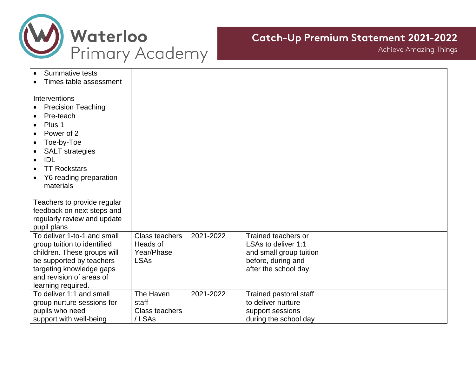

**Achieve Amazing Things** 

| <b>Summative tests</b><br>Times table assessment |                       |           |                         |  |
|--------------------------------------------------|-----------------------|-----------|-------------------------|--|
|                                                  |                       |           |                         |  |
| Interventions<br><b>Precision Teaching</b>       |                       |           |                         |  |
| Pre-teach<br>$\bullet$                           |                       |           |                         |  |
| Plus 1<br>$\bullet$                              |                       |           |                         |  |
| Power of 2<br>$\bullet$                          |                       |           |                         |  |
| Toe-by-Toe<br>$\bullet$                          |                       |           |                         |  |
| <b>SALT</b> strategies<br>$\bullet$              |                       |           |                         |  |
| <b>IDL</b><br>$\bullet$                          |                       |           |                         |  |
| <b>TT Rockstars</b><br>$\bullet$                 |                       |           |                         |  |
| Y6 reading preparation<br>materials              |                       |           |                         |  |
|                                                  |                       |           |                         |  |
| Teachers to provide regular                      |                       |           |                         |  |
| feedback on next steps and                       |                       |           |                         |  |
| regularly review and update                      |                       |           |                         |  |
| pupil plans<br>To deliver 1-to-1 and small       | <b>Class teachers</b> | 2021-2022 | Trained teachers or     |  |
| group tuition to identified                      | Heads of              |           | LSAs to deliver 1:1     |  |
| children. These groups will                      | Year/Phase            |           | and small group tuition |  |
| be supported by teachers                         | <b>LSAs</b>           |           | before, during and      |  |
| targeting knowledge gaps                         |                       |           | after the school day.   |  |
| and revision of areas of                         |                       |           |                         |  |
| learning required.<br>To deliver 1:1 and small   | The Haven             | 2021-2022 | Trained pastoral staff  |  |
| group nurture sessions for                       | staff                 |           | to deliver nurture      |  |
| pupils who need                                  | <b>Class teachers</b> |           | support sessions        |  |
| support with well-being                          | /LSAs                 |           | during the school day   |  |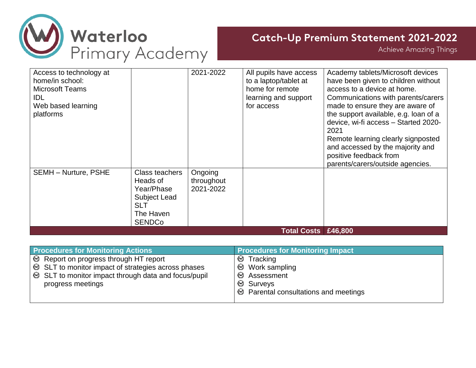

**Achieve Amazing Things** 

| Access to technology at<br>home/in school:<br><b>Microsoft Teams</b><br>IDL.<br>Web based learning<br>platforms |                                                                                                      | 2021-2022                          | All pupils have access<br>to a laptop/tablet at<br>home for remote<br>learning and support<br>for access | Academy tablets/Microsoft devices<br>have been given to children without<br>access to a device at home.<br>Communications with parents/carers<br>made to ensure they are aware of<br>the support available, e.g. loan of a<br>device, wi-fi access - Started 2020-<br>2021<br>Remote learning clearly signposted<br>and accessed by the majority and<br>positive feedback from<br>parents/carers/outside agencies. |
|-----------------------------------------------------------------------------------------------------------------|------------------------------------------------------------------------------------------------------|------------------------------------|----------------------------------------------------------------------------------------------------------|--------------------------------------------------------------------------------------------------------------------------------------------------------------------------------------------------------------------------------------------------------------------------------------------------------------------------------------------------------------------------------------------------------------------|
| <b>SEMH - Nurture, PSHE</b>                                                                                     | Class teachers<br>Heads of<br>Year/Phase<br>Subject Lead<br><b>SLT</b><br>The Haven<br><b>SENDCo</b> | Ongoing<br>throughout<br>2021-2022 |                                                                                                          |                                                                                                                                                                                                                                                                                                                                                                                                                    |
|                                                                                                                 |                                                                                                      |                                    | <b>Total Costs £46,800</b>                                                                               |                                                                                                                                                                                                                                                                                                                                                                                                                    |

| <b>Procedures for Monitoring Actions</b>                    | <b>Procedures for Monitoring Impact</b>                        |  |  |
|-------------------------------------------------------------|----------------------------------------------------------------|--|--|
| $\Theta$ Report on progress through HT report               | Tracking                                                       |  |  |
| ৩                                                           | $\mathcal{O}$ Work sampling                                    |  |  |
| <b> ■ SLT</b> to monitor impact of strategies across phases | $\otimes$ Assessment                                           |  |  |
| sup>⊜ SLT to monitor impact through data and focus/pupil    |                                                                |  |  |
| progress meetings                                           | $\vert \, \circledcirc \,$ Parental consultations and meetings |  |  |